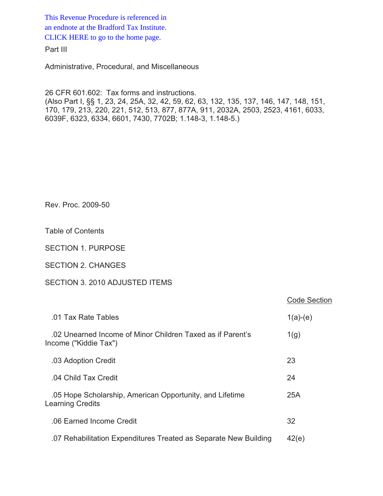This Revenue Procedure is referenced in [an endnote at the Bradford Tax Institute.](http://www.bradfordtaxinstitute.com/)  CLICK HERE to go to the home page.

Part III

Administrative, Procedural, and Miscellaneous

26 CFR 601.602: Tax forms and instructions. (Also Part I, §§ 1, 23, 24, 25A, 32, 42, 59, 62, 63, 132, 135, 137, 146, 147, 148, 151, 170, 179, 213, 220, 221, 512, 513, 877, 877A, 911, 2032A, 2503, 2523, 4161, 6033, 6039F, 6323, 6334, 6601, 7430, 7702B; 1.148-3, 1.148-5.)

Rev. Proc. 2009-50

Table of Contents

SECTION 1. PURPOSE

SECTION 2. CHANGES

# SECTION 3. 2010 ADJUSTED ITEMS

|                                                                                     | <b>Code Section</b> |
|-------------------------------------------------------------------------------------|---------------------|
| .01 Tax Rate Tables                                                                 | $1(a)-(e)$          |
| .02 Unearned Income of Minor Children Taxed as if Parent's<br>Income ("Kiddie Tax") | 1(g)                |
| .03 Adoption Credit                                                                 | 23                  |
| .04 Child Tax Credit                                                                | 24                  |
| .05 Hope Scholarship, American Opportunity, and Lifetime<br>Learning Credits        | 25A                 |
| .06 Earned Income Credit                                                            | 32                  |
| .07 Rehabilitation Expenditures Treated as Separate New Building                    | 42(e)               |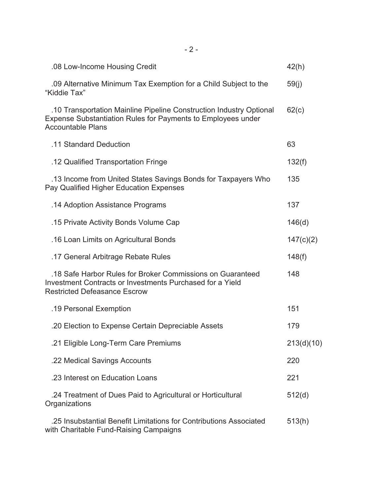| .08 Low-Income Housing Credit                                                                                                                                   | 42(h)      |
|-----------------------------------------------------------------------------------------------------------------------------------------------------------------|------------|
| .09 Alternative Minimum Tax Exemption for a Child Subject to the<br>"Kiddie Tax"                                                                                | 59(j)      |
| .10 Transportation Mainline Pipeline Construction Industry Optional<br>Expense Substantiation Rules for Payments to Employees under<br><b>Accountable Plans</b> | 62(c)      |
| .11 Standard Deduction                                                                                                                                          | 63         |
| .12 Qualified Transportation Fringe                                                                                                                             | 132(f)     |
| .13 Income from United States Savings Bonds for Taxpayers Who<br>Pay Qualified Higher Education Expenses                                                        | 135        |
| .14 Adoption Assistance Programs                                                                                                                                | 137        |
| .15 Private Activity Bonds Volume Cap                                                                                                                           | 146(d)     |
| .16 Loan Limits on Agricultural Bonds                                                                                                                           | 147(c)(2)  |
| .17 General Arbitrage Rebate Rules                                                                                                                              | 148(f)     |
| .18 Safe Harbor Rules for Broker Commissions on Guaranteed<br>Investment Contracts or Investments Purchased for a Yield<br><b>Restricted Defeasance Escrow</b>  | 148        |
| .19 Personal Exemption                                                                                                                                          | 151        |
| .20 Election to Expense Certain Depreciable Assets                                                                                                              | 179        |
| .21 Eligible Long-Term Care Premiums                                                                                                                            | 213(d)(10) |
| .22 Medical Savings Accounts                                                                                                                                    | 220        |
| .23 Interest on Education Loans                                                                                                                                 | 221        |
| .24 Treatment of Dues Paid to Agricultural or Horticultural<br>Organizations                                                                                    | 512(d)     |
| .25 Insubstantial Benefit Limitations for Contributions Associated<br>with Charitable Fund-Raising Campaigns                                                    | 513(h)     |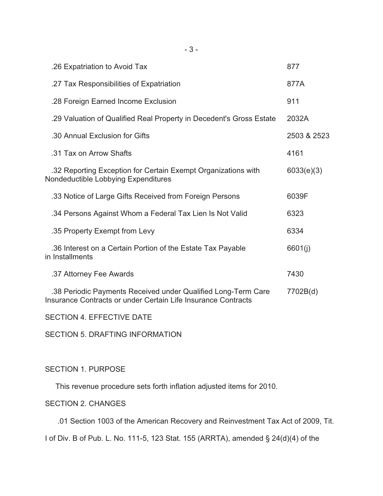| .26 Expatriation to Avoid Tax                                                                                                  | 877         |
|--------------------------------------------------------------------------------------------------------------------------------|-------------|
| .27 Tax Responsibilities of Expatriation                                                                                       | 877A        |
| .28 Foreign Earned Income Exclusion                                                                                            | 911         |
| .29 Valuation of Qualified Real Property in Decedent's Gross Estate                                                            | 2032A       |
| .30 Annual Exclusion for Gifts                                                                                                 | 2503 & 2523 |
| .31 Tax on Arrow Shafts                                                                                                        | 4161        |
| .32 Reporting Exception for Certain Exempt Organizations with<br>Nondeductible Lobbying Expenditures                           | 6033(e)(3)  |
| .33 Notice of Large Gifts Received from Foreign Persons                                                                        | 6039F       |
| .34 Persons Against Whom a Federal Tax Lien Is Not Valid                                                                       | 6323        |
| .35 Property Exempt from Levy                                                                                                  | 6334        |
| .36 Interest on a Certain Portion of the Estate Tax Payable<br>in Installments                                                 | 6601(j)     |
| .37 Attorney Fee Awards                                                                                                        | 7430        |
| .38 Periodic Payments Received under Qualified Long-Term Care<br>Insurance Contracts or under Certain Life Insurance Contracts | 7702B(d)    |

SECTION 4. EFFECTIVE DATE

SECTION 5. DRAFTING INFORMATION

# SECTION 1. PURPOSE

This revenue procedure sets forth inflation adjusted items for 2010.

# SECTION 2. CHANGES

.01 Section 1003 of the American Recovery and Reinvestment Tax Act of 2009, Tit.

I of Div. B of Pub. L. No. 111-5, 123 Stat. 155 (ARRTA), amended § 24(d)(4) of the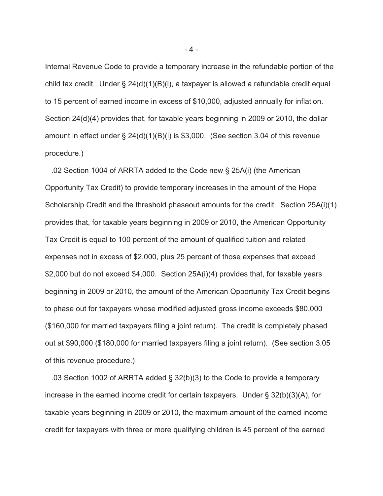Internal Revenue Code to provide a temporary increase in the refundable portion of the child tax credit. Under § 24(d)(1)(B)(i), a taxpayer is allowed a refundable credit equal to 15 percent of earned income in excess of \$10,000, adjusted annually for inflation. Section 24(d)(4) provides that, for taxable years beginning in 2009 or 2010, the dollar amount in effect under § 24(d)(1)(B)(i) is \$3,000. (See section 3.04 of this revenue procedure.)

 .02 Section 1004 of ARRTA added to the Code new § 25A(i) (the American Opportunity Tax Credit) to provide temporary increases in the amount of the Hope Scholarship Credit and the threshold phaseout amounts for the credit. Section 25A(i)(1) provides that, for taxable years beginning in 2009 or 2010, the American Opportunity Tax Credit is equal to 100 percent of the amount of qualified tuition and related expenses not in excess of \$2,000, plus 25 percent of those expenses that exceed \$2,000 but do not exceed \$4,000. Section 25A(i)(4) provides that, for taxable years beginning in 2009 or 2010, the amount of the American Opportunity Tax Credit begins to phase out for taxpayers whose modified adjusted gross income exceeds \$80,000 (\$160,000 for married taxpayers filing a joint return). The credit is completely phased out at \$90,000 (\$180,000 for married taxpayers filing a joint return). (See section 3.05 of this revenue procedure.)

 .03 Section 1002 of ARRTA added § 32(b)(3) to the Code to provide a temporary increase in the earned income credit for certain taxpayers. Under § 32(b)(3)(A), for taxable years beginning in 2009 or 2010, the maximum amount of the earned income credit for taxpayers with three or more qualifying children is 45 percent of the earned

- 4 -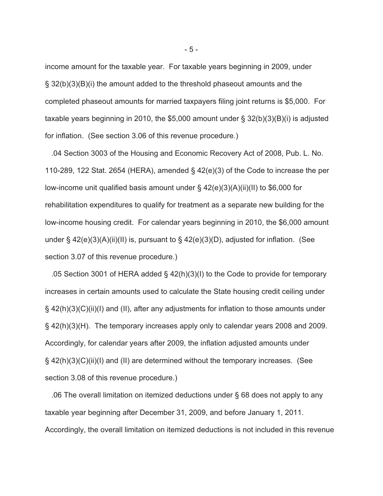income amount for the taxable year. For taxable years beginning in 2009, under § 32(b)(3)(B)(i) the amount added to the threshold phaseout amounts and the completed phaseout amounts for married taxpayers filing joint returns is \$5,000. For taxable years beginning in 2010, the \$5,000 amount under  $\S$  32(b)(3)(B)(i) is adjusted for inflation. (See section 3.06 of this revenue procedure.)

 .04 Section 3003 of the Housing and Economic Recovery Act of 2008, Pub. L. No. 110-289, 122 Stat. 2654 (HERA), amended § 42(e)(3) of the Code to increase the per low-income unit qualified basis amount under § 42(e)(3)(A)(ii)(II) to \$6,000 for rehabilitation expenditures to qualify for treatment as a separate new building for the low-income housing credit. For calendar years beginning in 2010, the \$6,000 amount under § 42(e)(3)(A)(ii)(II) is, pursuant to § 42(e)(3)(D), adjusted for inflation. (See section 3.07 of this revenue procedure.)

 .05 Section 3001 of HERA added § 42(h)(3)(I) to the Code to provide for temporary increases in certain amounts used to calculate the State housing credit ceiling under § 42(h)(3)(C)(ii)(I) and (II), after any adjustments for inflation to those amounts under § 42(h)(3)(H). The temporary increases apply only to calendar years 2008 and 2009. Accordingly, for calendar years after 2009, the inflation adjusted amounts under § 42(h)(3)(C)(ii)(I) and (II) are determined without the temporary increases. (See section 3.08 of this revenue procedure.)

 .06 The overall limitation on itemized deductions under § 68 does not apply to any taxable year beginning after December 31, 2009, and before January 1, 2011. Accordingly, the overall limitation on itemized deductions is not included in this revenue

- 5 -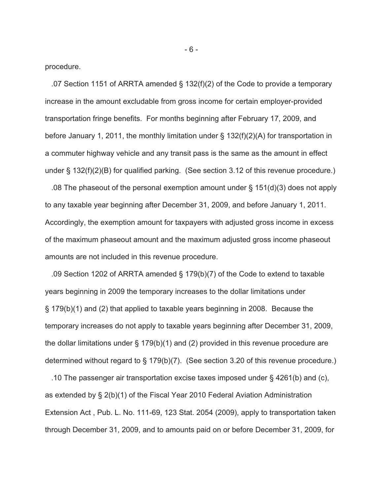procedure.

 .07 Section 1151 of ARRTA amended § 132(f)(2) of the Code to provide a temporary increase in the amount excludable from gross income for certain employer-provided transportation fringe benefits. For months beginning after February 17, 2009, and before January 1, 2011, the monthly limitation under  $\S$  132(f)(2)(A) for transportation in a commuter highway vehicle and any transit pass is the same as the amount in effect under § 132(f)(2)(B) for qualified parking. (See section 3.12 of this revenue procedure.)

 .08 The phaseout of the personal exemption amount under § 151(d)(3) does not apply to any taxable year beginning after December 31, 2009, and before January 1, 2011. Accordingly, the exemption amount for taxpayers with adjusted gross income in excess of the maximum phaseout amount and the maximum adjusted gross income phaseout amounts are not included in this revenue procedure.

 .09 Section 1202 of ARRTA amended § 179(b)(7) of the Code to extend to taxable years beginning in 2009 the temporary increases to the dollar limitations under § 179(b)(1) and (2) that applied to taxable years beginning in 2008. Because the temporary increases do not apply to taxable years beginning after December 31, 2009, the dollar limitations under § 179(b)(1) and (2) provided in this revenue procedure are determined without regard to § 179(b)(7). (See section 3.20 of this revenue procedure.)

 .10 The passenger air transportation excise taxes imposed under § 4261(b) and (c), as extended by § 2(b)(1) of the Fiscal Year 2010 Federal Aviation Administration Extension Act , Pub. L. No. 111-69, 123 Stat. 2054 (2009), apply to transportation taken through December 31, 2009, and to amounts paid on or before December 31, 2009, for

- 6 -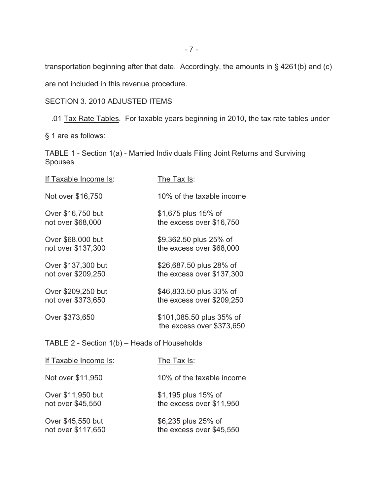transportation beginning after that date. Accordingly, the amounts in § 4261(b) and (c)

are not included in this revenue procedure.

# SECTION 3. 2010 ADJUSTED ITEMS

.01 Tax Rate Tables. For taxable years beginning in 2010, the tax rate tables under

§ 1 are as follows:

TABLE 1 - Section 1(a) - Married Individuals Filing Joint Returns and Surviving Spouses

| If Taxable Income Is:                        | The Tax Is:                                           |  |  |
|----------------------------------------------|-------------------------------------------------------|--|--|
| Not over \$16,750                            | 10% of the taxable income                             |  |  |
| Over \$16,750 but<br>not over \$68,000       | \$1,675 plus 15% of<br>the excess over \$16,750       |  |  |
| Over \$68,000 but<br>not over \$137,300      | \$9,362.50 plus 25% of<br>the excess over \$68,000    |  |  |
| Over \$137,300 but<br>not over \$209,250     | \$26,687.50 plus 28% of<br>the excess over \$137,300  |  |  |
| Over \$209,250 but<br>not over \$373,650     | \$46,833.50 plus 33% of<br>the excess over \$209,250  |  |  |
| Over \$373,650                               | \$101,085.50 plus 35% of<br>the excess over \$373,650 |  |  |
| TABLE 2 - Section 1(b) - Heads of Households |                                                       |  |  |
| <u>If Taxable Income Is</u> :                | <u>The Tax Is</u> :                                   |  |  |
| Not over \$11,950                            | 10% of the taxable income                             |  |  |
| Over \$11,950 but<br>not over \$45,550       | \$1,195 plus 15% of<br>the excess over \$11,950       |  |  |

Over \$45,550 but \$6,235 plus 25% of<br>not over \$117,650 the excess over \$45 the excess over  $$45,550$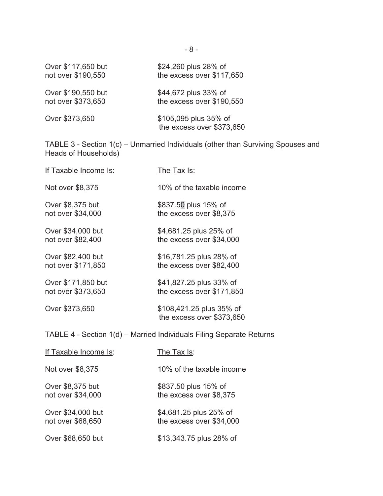| Over \$117,650 but | \$24,260 plus 28% of                               |
|--------------------|----------------------------------------------------|
| not over \$190,550 | the excess over \$117,650                          |
| Over \$190,550 but | \$44,672 plus 33% of                               |
| not over \$373,650 | the excess over \$190,550                          |
| Over \$373,650     | \$105,095 plus 35% of<br>the excess over \$373,650 |

TABLE 3 - Section 1(c) – Unmarried Individuals (other than Surviving Spouses and Heads of Households)

| If Taxable Income Is:                                                | The Tax Is:                                           |  |
|----------------------------------------------------------------------|-------------------------------------------------------|--|
| Not over \$8,375                                                     | 10% of the taxable income                             |  |
| Over \$8,375 but                                                     | \$837.50 plus 15% of                                  |  |
| not over \$34,000                                                    | the excess over \$8,375                               |  |
| Over \$34,000 but                                                    | \$4,681.25 plus 25% of                                |  |
| not over \$82,400                                                    | the excess over \$34,000                              |  |
| Over \$82,400 but                                                    | \$16,781.25 plus 28% of                               |  |
| not over \$171,850                                                   | the excess over \$82,400                              |  |
| Over \$171,850 but                                                   | \$41,827.25 plus 33% of                               |  |
| not over \$373,650                                                   | the excess over \$171,850                             |  |
| Over \$373,650                                                       | \$108,421.25 plus 35% of<br>the excess over \$373,650 |  |
| TABLE 4 - Section 1(d) – Married Individuals Filing Separate Returns |                                                       |  |
| If Taxable Income Is:                                                | The Tax Is:                                           |  |
| Not over \$8,375                                                     | 10% of the taxable income                             |  |
| Over \$8,375 but                                                     | \$837.50 plus 15% of                                  |  |
| not over \$34,000                                                    | the excess over \$8,375                               |  |
| Over \$34,000 but                                                    | \$4,681.25 plus 25% of                                |  |
| not over \$68,650                                                    | the excess over \$34,000                              |  |

Over \$68,650 but \$13,343.75 plus 28% of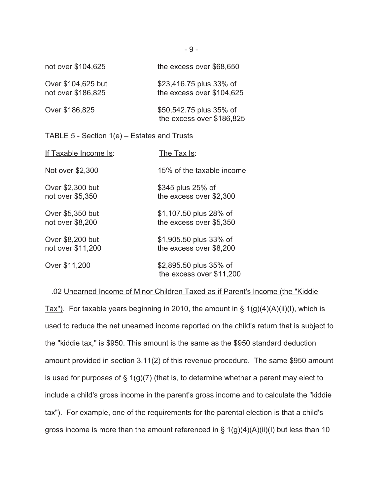| not over \$104,625                            | the excess over \$68,650                             |  |
|-----------------------------------------------|------------------------------------------------------|--|
| Over \$104,625 but<br>not over \$186,825      | \$23,416.75 plus 33% of<br>the excess over \$104,625 |  |
| Over \$186,825                                | \$50,542.75 plus 35% of<br>the excess over \$186,825 |  |
| TABLE 5 - Section $1(e)$ – Estates and Trusts |                                                      |  |
| If Taxable Income Is:                         | The Tax Is:                                          |  |
| Not over \$2,300                              | 15% of the taxable income                            |  |
| Over \$2,300 but<br>not over \$5,350          | \$345 plus 25% of<br>the excess over \$2,300         |  |

Over \$5,350 but \$1,107.50 plus 28% of not over \$8,200 the excess over \$5,350

Over \$8,200 but \$1,905.50 plus 33% of not over \$11,200 the excess over \$8,200

Over \$11,200 \$2,895.50 plus 35% of the excess over \$11,200

### .02 Unearned Income of Minor Children Taxed as if Parent's Income (the "Kiddie

Tax"). For taxable years beginning in 2010, the amount in  $\S 1(g)(4)(A)(ii)(I)$ , which is used to reduce the net unearned income reported on the child's return that is subject to the "kiddie tax," is \$950. This amount is the same as the \$950 standard deduction amount provided in section 3.11(2) of this revenue procedure. The same \$950 amount is used for purposes of  $\S 1(g)(7)$  (that is, to determine whether a parent may elect to include a child's gross income in the parent's gross income and to calculate the "kiddie tax"). For example, one of the requirements for the parental election is that a child's gross income is more than the amount referenced in  $\S 1(g)(4)(A)(ii)(I)$  but less than 10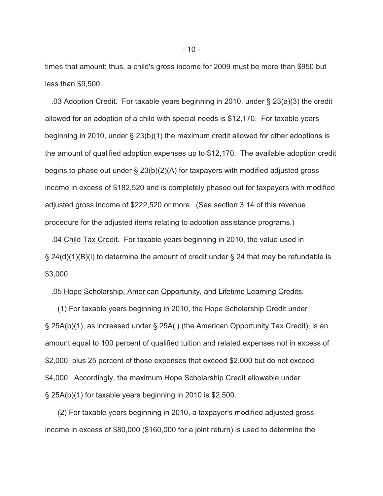times that amount; thus, a child's gross income for 2009 must be more than \$950 but less than \$9,500.

 .03 Adoption Credit. For taxable years beginning in 2010, under § 23(a)(3) the credit allowed for an adoption of a child with special needs is \$12,170. For taxable years beginning in 2010, under § 23(b)(1) the maximum credit allowed for other adoptions is the amount of qualified adoption expenses up to \$12,170. The available adoption credit begins to phase out under § 23(b)(2)(A) for taxpayers with modified adjusted gross income in excess of \$182,520 and is completely phased out for taxpayers with modified adjusted gross income of \$222,520 or more. (See section 3.14 of this revenue procedure for the adjusted items relating to adoption assistance programs.)

 .04 Child Tax Credit. For taxable years beginning in 2010, the value used in  $\S$  24(d)(1)(B)(i) to determine the amount of credit under  $\S$  24 that may be refundable is \$3,000.

### .05 Hope Scholarship, American Opportunity, and Lifetime Learning Credits.

 (1) For taxable years beginning in 2010, the Hope Scholarship Credit under § 25A(b)(1), as increased under § 25A(i) (the American Opportunity Tax Credit), is an amount equal to 100 percent of qualified tuition and related expenses not in excess of \$2,000, plus 25 percent of those expenses that exceed \$2,000 but do not exceed \$4,000. Accordingly, the maximum Hope Scholarship Credit allowable under § 25A(b)(1) for taxable years beginning in 2010 is \$2,500.

 (2) For taxable years beginning in 2010, a taxpayer's modified adjusted gross income in excess of \$80,000 (\$160,000 for a joint return) is used to determine the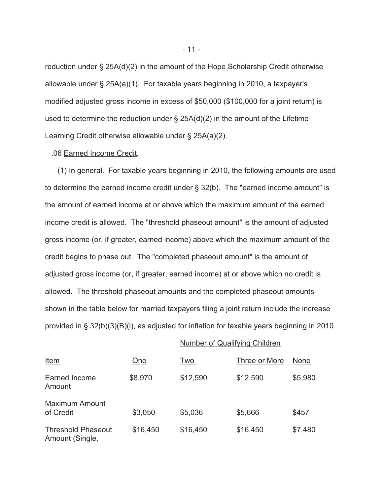reduction under § 25A(d)(2) in the amount of the Hope Scholarship Credit otherwise allowable under § 25A(a)(1). For taxable years beginning in 2010, a taxpayer's modified adjusted gross income in excess of \$50,000 (\$100,000 for a joint return) is used to determine the reduction under § 25A(d)(2) in the amount of the Lifetime Learning Credit otherwise allowable under § 25A(a)(2).

#### .06 Earned Income Credit.

 (1) In general. For taxable years beginning in 2010, the following amounts are used to determine the earned income credit under § 32(b). The "earned income amount" is the amount of earned income at or above which the maximum amount of the earned income credit is allowed. The "threshold phaseout amount" is the amount of adjusted gross income (or, if greater, earned income) above which the maximum amount of the credit begins to phase out. The "completed phaseout amount" is the amount of adjusted gross income (or, if greater, earned income) at or above which no credit is allowed. The threshold phaseout amounts and the completed phaseout amounts shown in the table below for married taxpayers filing a joint return include the increase provided in § 32(b)(3)(B)(i), as adjusted for inflation for taxable years beginning in 2010.

# Number of Qualifying Children

| <u>Item</u>                                  | <u>One</u> | Two      | Three or More | <b>None</b> |
|----------------------------------------------|------------|----------|---------------|-------------|
| Earned Income<br>Amount                      | \$8,970    | \$12,590 | \$12,590      | \$5,980     |
| <b>Maximum Amount</b><br>of Credit           | \$3,050    | \$5,036  | \$5,666       | \$457       |
| <b>Threshold Phaseout</b><br>Amount (Single, | \$16,450   | \$16,450 | \$16,450      | \$7,480     |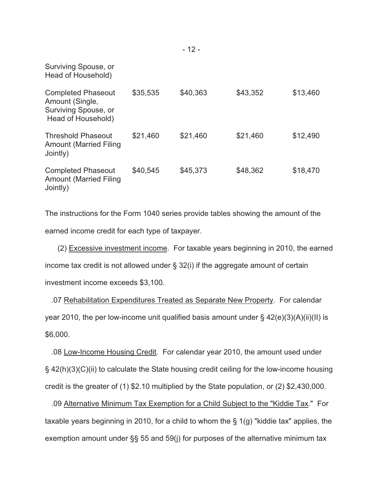| Surviving Spouse, or<br>Head of Household)                                                 |          |          |          |          |
|--------------------------------------------------------------------------------------------|----------|----------|----------|----------|
| <b>Completed Phaseout</b><br>Amount (Single,<br>Surviving Spouse, or<br>Head of Household) | \$35,535 | \$40,363 | \$43,352 | \$13,460 |
| <b>Threshold Phaseout</b><br><b>Amount (Married Filing</b><br>Jointly)                     | \$21,460 | \$21,460 | \$21,460 | \$12,490 |
| <b>Completed Phaseout</b><br><b>Amount (Married Filing</b><br>Jointly)                     | \$40,545 | \$45,373 | \$48,362 | \$18,470 |

The instructions for the Form 1040 series provide tables showing the amount of the earned income credit for each type of taxpayer.

 (2) Excessive investment income. For taxable years beginning in 2010, the earned income tax credit is not allowed under § 32(i) if the aggregate amount of certain investment income exceeds \$3,100.

 .07 Rehabilitation Expenditures Treated as Separate New Property. For calendar year 2010, the per low-income unit qualified basis amount under § 42(e)(3)(A)(ii)(II) is \$6,000.

 .08 Low-Income Housing Credit. For calendar year 2010, the amount used under § 42(h)(3)(C)(ii) to calculate the State housing credit ceiling for the low-income housing credit is the greater of (1) \$2.10 multiplied by the State population, or (2) \$2,430,000.

 .09 Alternative Minimum Tax Exemption for a Child Subject to the "Kiddie Tax." For taxable years beginning in 2010, for a child to whom the  $\S$  1(g) "kiddie tax" applies, the exemption amount under §§ 55 and 59(j) for purposes of the alternative minimum tax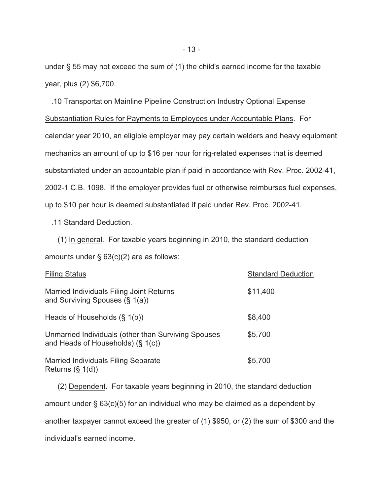under § 55 may not exceed the sum of (1) the child's earned income for the taxable year, plus (2) \$6,700.

 .10 Transportation Mainline Pipeline Construction Industry Optional Expense Substantiation Rules for Payments to Employees under Accountable Plans. For calendar year 2010, an eligible employer may pay certain welders and heavy equipment mechanics an amount of up to \$16 per hour for rig-related expenses that is deemed substantiated under an accountable plan if paid in accordance with Rev. Proc. 2002-41, 2002-1 C.B. 1098. If the employer provides fuel or otherwise reimburses fuel expenses, up to \$10 per hour is deemed substantiated if paid under Rev. Proc. 2002-41.

## .11 Standard Deduction.

 (1) In general. For taxable years beginning in 2010, the standard deduction amounts under § 63(c)(2) are as follows:

| <b>Filing Status</b>                                                                        | <b>Standard Deduction</b> |
|---------------------------------------------------------------------------------------------|---------------------------|
| Married Individuals Filing Joint Returns<br>and Surviving Spouses (§ 1(a))                  | \$11,400                  |
| Heads of Households (§ 1(b))                                                                | \$8,400                   |
| Unmarried Individuals (other than Surviving Spouses<br>and Heads of Households) $(\S 1(c))$ | \$5,700                   |
| <b>Married Individuals Filing Separate</b><br>Returns $(\S 1(d))$                           | \$5,700                   |

 (2) Dependent. For taxable years beginning in 2010, the standard deduction amount under § 63(c)(5) for an individual who may be claimed as a dependent by another taxpayer cannot exceed the greater of (1) \$950, or (2) the sum of \$300 and the individual's earned income.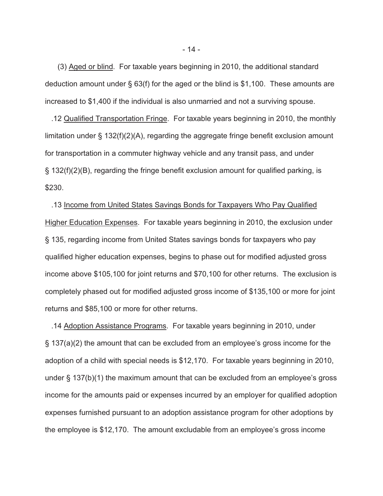(3) Aged or blind. For taxable years beginning in 2010, the additional standard deduction amount under § 63(f) for the aged or the blind is \$1,100. These amounts are increased to \$1,400 if the individual is also unmarried and not a surviving spouse.

 .12 Qualified Transportation Fringe. For taxable years beginning in 2010, the monthly limitation under  $\S$  132(f)(2)(A), regarding the aggregate fringe benefit exclusion amount for transportation in a commuter highway vehicle and any transit pass, and under § 132(f)(2)(B), regarding the fringe benefit exclusion amount for qualified parking, is \$230.

 .13 Income from United States Savings Bonds for Taxpayers Who Pay Qualified Higher Education Expenses. For taxable years beginning in 2010, the exclusion under § 135, regarding income from United States savings bonds for taxpayers who pay qualified higher education expenses, begins to phase out for modified adjusted gross income above \$105,100 for joint returns and \$70,100 for other returns. The exclusion is completely phased out for modified adjusted gross income of \$135,100 or more for joint returns and \$85,100 or more for other returns.

 .14 Adoption Assistance Programs. For taxable years beginning in 2010, under § 137(a)(2) the amount that can be excluded from an employee's gross income for the adoption of a child with special needs is \$12,170. For taxable years beginning in 2010, under § 137(b)(1) the maximum amount that can be excluded from an employee's gross income for the amounts paid or expenses incurred by an employer for qualified adoption expenses furnished pursuant to an adoption assistance program for other adoptions by the employee is \$12,170. The amount excludable from an employee's gross income

- 14 -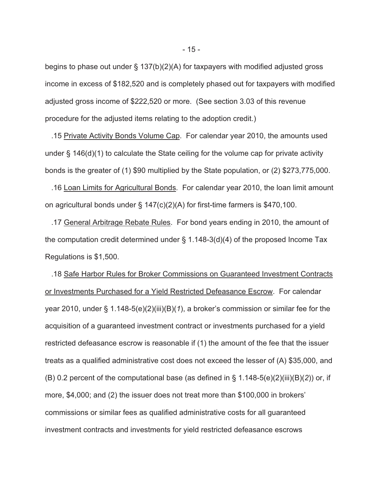begins to phase out under § 137(b)(2)(A) for taxpayers with modified adjusted gross income in excess of \$182,520 and is completely phased out for taxpayers with modified adjusted gross income of \$222,520 or more. (See section 3.03 of this revenue procedure for the adjusted items relating to the adoption credit.)

 .15 Private Activity Bonds Volume Cap. For calendar year 2010, the amounts used under § 146(d)(1) to calculate the State ceiling for the volume cap for private activity bonds is the greater of (1) \$90 multiplied by the State population, or (2) \$273,775,000.

 .16 Loan Limits for Agricultural Bonds. For calendar year 2010, the loan limit amount on agricultural bonds under § 147(c)(2)(A) for first-time farmers is \$470,100.

 .17 General Arbitrage Rebate Rules. For bond years ending in 2010, the amount of the computation credit determined under § 1.148-3(d)(4) of the proposed Income Tax Regulations is \$1,500.

 .18 Safe Harbor Rules for Broker Commissions on Guaranteed Investment Contracts or Investments Purchased for a Yield Restricted Defeasance Escrow. For calendar year 2010, under § 1.148-5(e)(2)(iii)(B)(*1*), a broker's commission or similar fee for the acquisition of a guaranteed investment contract or investments purchased for a yield restricted defeasance escrow is reasonable if (1) the amount of the fee that the issuer treats as a qualified administrative cost does not exceed the lesser of (A) \$35,000, and (B) 0.2 percent of the computational base (as defined in § 1.148-5(e)(2)(iii)(B)(*2*)) or, if more, \$4,000; and (2) the issuer does not treat more than \$100,000 in brokers' commissions or similar fees as qualified administrative costs for all guaranteed investment contracts and investments for yield restricted defeasance escrows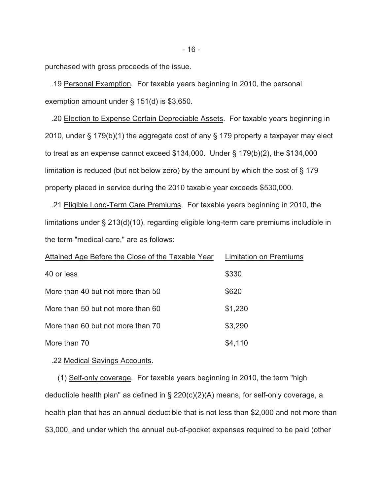purchased with gross proceeds of the issue.

 .19 Personal Exemption. For taxable years beginning in 2010, the personal exemption amount under § 151(d) is \$3,650.

 .20 Election to Expense Certain Depreciable Assets. For taxable years beginning in 2010, under § 179(b)(1) the aggregate cost of any § 179 property a taxpayer may elect to treat as an expense cannot exceed \$134,000. Under § 179(b)(2), the \$134,000 limitation is reduced (but not below zero) by the amount by which the cost of § 179 property placed in service during the 2010 taxable year exceeds \$530,000.

 .21 Eligible Long-Term Care Premiums. For taxable years beginning in 2010, the limitations under § 213(d)(10), regarding eligible long-term care premiums includible in the term "medical care," are as follows:

| Attained Age Before the Close of the Taxable Year | <b>Limitation on Premiums</b> |
|---------------------------------------------------|-------------------------------|
| 40 or less                                        | \$330                         |
| More than 40 but not more than 50                 | \$620                         |
| More than 50 but not more than 60                 | \$1,230                       |
| More than 60 but not more than 70                 | \$3,290                       |
| More than 70                                      | \$4,110                       |

.22 Medical Savings Accounts.

 (1) Self-only coverage. For taxable years beginning in 2010, the term "high deductible health plan" as defined in § 220(c)(2)(A) means, for self-only coverage, a health plan that has an annual deductible that is not less than \$2,000 and not more than \$3,000, and under which the annual out-of-pocket expenses required to be paid (other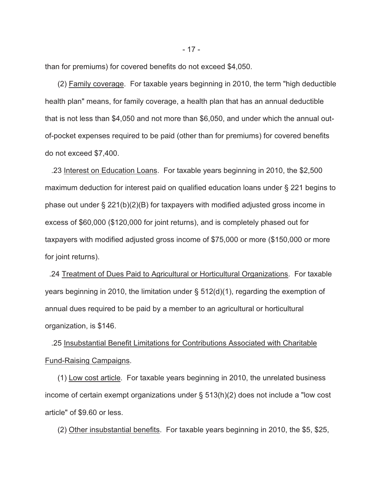than for premiums) for covered benefits do not exceed \$4,050.

 (2) Family coverage. For taxable years beginning in 2010, the term "high deductible health plan" means, for family coverage, a health plan that has an annual deductible that is not less than \$4,050 and not more than \$6,050, and under which the annual outof-pocket expenses required to be paid (other than for premiums) for covered benefits do not exceed \$7,400.

 .23 Interest on Education Loans. For taxable years beginning in 2010, the \$2,500 maximum deduction for interest paid on qualified education loans under § 221 begins to phase out under § 221(b)(2)(B) for taxpayers with modified adjusted gross income in excess of \$60,000 (\$120,000 for joint returns), and is completely phased out for taxpayers with modified adjusted gross income of \$75,000 or more (\$150,000 or more for joint returns).

 .24 Treatment of Dues Paid to Agricultural or Horticultural Organizations. For taxable years beginning in 2010, the limitation under § 512(d)(1), regarding the exemption of annual dues required to be paid by a member to an agricultural or horticultural organization, is \$146.

 .25 Insubstantial Benefit Limitations for Contributions Associated with Charitable Fund-Raising Campaigns.

 (1) Low cost article. For taxable years beginning in 2010, the unrelated business income of certain exempt organizations under § 513(h)(2) does not include a "low cost article" of \$9.60 or less.

(2) Other insubstantial benefits. For taxable years beginning in 2010, the \$5, \$25,

- 17 -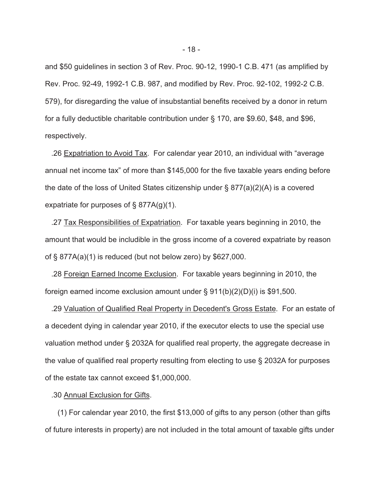and \$50 guidelines in section 3 of Rev. Proc. 90-12, 1990-1 C.B. 471 (as amplified by Rev. Proc. 92-49, 1992-1 C.B. 987, and modified by Rev. Proc. 92-102, 1992-2 C.B. 579), for disregarding the value of insubstantial benefits received by a donor in return for a fully deductible charitable contribution under § 170, are \$9.60, \$48, and \$96, respectively.

 .26 Expatriation to Avoid Tax. For calendar year 2010, an individual with "average annual net income tax" of more than \$145,000 for the five taxable years ending before the date of the loss of United States citizenship under § 877(a)(2)(A) is a covered expatriate for purposes of § 877A(g)(1).

 .27 Tax Responsibilities of Expatriation. For taxable years beginning in 2010, the amount that would be includible in the gross income of a covered expatriate by reason of § 877A(a)(1) is reduced (but not below zero) by \$627,000.

 .28 Foreign Earned Income Exclusion. For taxable years beginning in 2010, the foreign earned income exclusion amount under  $\S 911(b)(2)(D)(i)$  is \$91,500.

 .29 Valuation of Qualified Real Property in Decedent's Gross Estate. For an estate of a decedent dying in calendar year 2010, if the executor elects to use the special use valuation method under § 2032A for qualified real property, the aggregate decrease in the value of qualified real property resulting from electing to use § 2032A for purposes of the estate tax cannot exceed \$1,000,000.

### .30 Annual Exclusion for Gifts.

 (1) For calendar year 2010, the first \$13,000 of gifts to any person (other than gifts of future interests in property) are not included in the total amount of taxable gifts under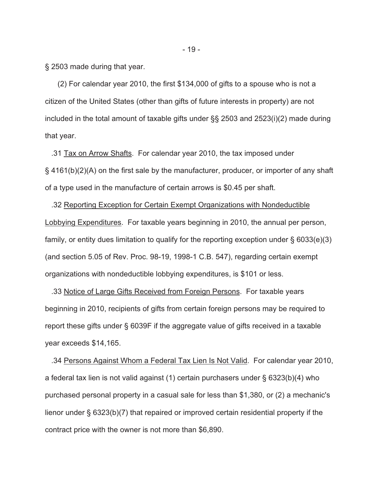§ 2503 made during that year.

 (2) For calendar year 2010, the first \$134,000 of gifts to a spouse who is not a citizen of the United States (other than gifts of future interests in property) are not included in the total amount of taxable gifts under §§ 2503 and 2523(i)(2) made during that year.

 .31 Tax on Arrow Shafts. For calendar year 2010, the tax imposed under § 4161(b)(2)(A) on the first sale by the manufacturer, producer, or importer of any shaft of a type used in the manufacture of certain arrows is \$0.45 per shaft.

 .32 Reporting Exception for Certain Exempt Organizations with Nondeductible Lobbying Expenditures. For taxable years beginning in 2010, the annual per person, family, or entity dues limitation to qualify for the reporting exception under § 6033(e)(3) (and section 5.05 of Rev. Proc. 98-19, 1998-1 C.B. 547), regarding certain exempt organizations with nondeductible lobbying expenditures, is \$101 or less.

 .33 Notice of Large Gifts Received from Foreign Persons. For taxable years beginning in 2010, recipients of gifts from certain foreign persons may be required to report these gifts under § 6039F if the aggregate value of gifts received in a taxable year exceeds \$14,165.

 .34 Persons Against Whom a Federal Tax Lien Is Not Valid. For calendar year 2010, a federal tax lien is not valid against (1) certain purchasers under § 6323(b)(4) who purchased personal property in a casual sale for less than \$1,380, or (2) a mechanic's lienor under § 6323(b)(7) that repaired or improved certain residential property if the contract price with the owner is not more than \$6,890.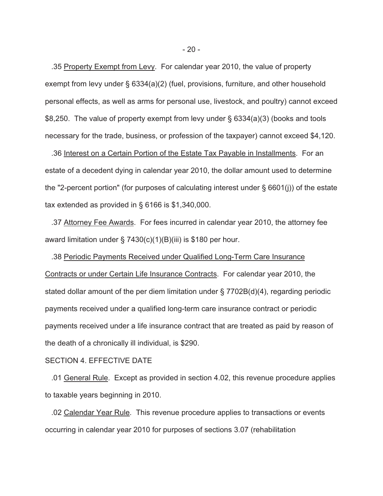.35 Property Exempt from Levy. For calendar year 2010, the value of property exempt from levy under § 6334(a)(2) (fuel, provisions, furniture, and other household personal effects, as well as arms for personal use, livestock, and poultry) cannot exceed \$8,250. The value of property exempt from levy under § 6334(a)(3) (books and tools necessary for the trade, business, or profession of the taxpayer) cannot exceed \$4,120.

 .36 Interest on a Certain Portion of the Estate Tax Payable in Installments. For an estate of a decedent dying in calendar year 2010, the dollar amount used to determine the "2-percent portion" (for purposes of calculating interest under § 6601(j)) of the estate tax extended as provided in § 6166 is \$1,340,000.

 .37 Attorney Fee Awards. For fees incurred in calendar year 2010, the attorney fee award limitation under § 7430(c)(1)(B)(iii) is \$180 per hour.

 .38 Periodic Payments Received under Qualified Long-Term Care Insurance Contracts or under Certain Life Insurance Contracts. For calendar year 2010, the stated dollar amount of the per diem limitation under § 7702B(d)(4), regarding periodic payments received under a qualified long-term care insurance contract or periodic payments received under a life insurance contract that are treated as paid by reason of the death of a chronically ill individual, is \$290.

### SECTION 4. EFFECTIVE DATE

 .01 General Rule. Except as provided in section 4.02, this revenue procedure applies to taxable years beginning in 2010.

 .02 Calendar Year Rule. This revenue procedure applies to transactions or events occurring in calendar year 2010 for purposes of sections 3.07 (rehabilitation